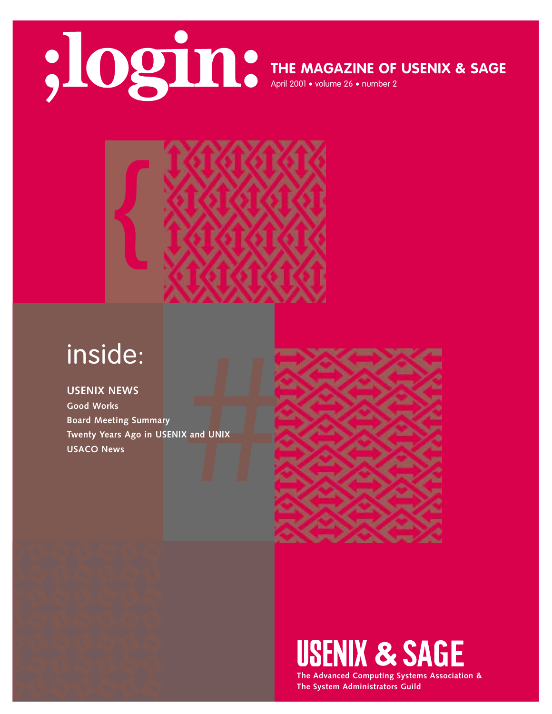

**THE MAGAZINE OF USENIX & SAGE**

April 2001 • volume 26 • number 2



## inside:

**USENIX NEWS Good Works Board Meeting Summary Twenty Years Ago in USENIX and UNIX USACO News**



# **USENIX & SAGE**

**The Advanced Computing Systems Association & The System Administrators Guild**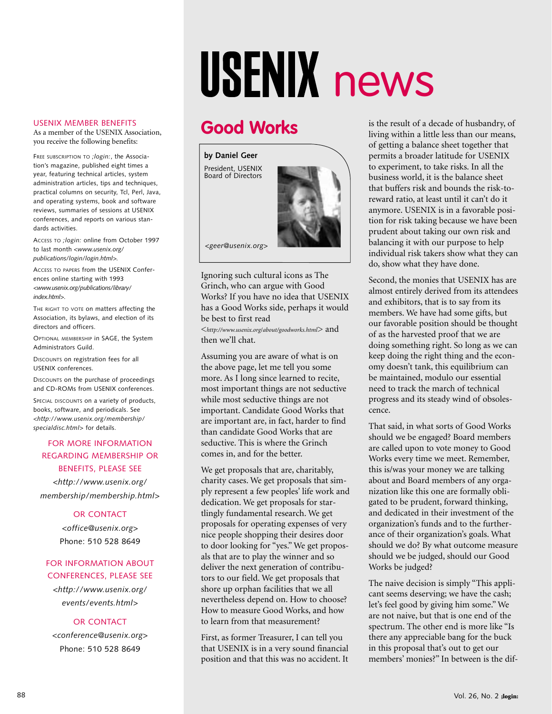# USENIX news

## **Good Works**

**by Daniel Geer** President, USENIX Board of Directors



*<geer@usenix.org>*

Ignoring such cultural icons as The Grinch, who can argue with Good Works? If you have no idea that USENIX has a Good Works side, perhaps it would be best to first read

<*http://www.usenix.org*/*[about/goodworks.html](http://www.usenix.org/about/goodworks.html)*> and then we'll chat.

Assuming you are aware of what is on the above page, let me tell you some more. As I long since learned to recite, most important things are not seductive while most seductive things are not important. Candidate Good Works that are important are, in fact, harder to find than candidate Good Works that are seductive. This is where the Grinch comes in, and for the better.

We get proposals that are, charitably, charity cases. We get proposals that simply represent a few peoples' life work and dedication. We get proposals for startlingly fundamental research. We get proposals for operating expenses of very nice people shopping their desires door to door looking for "yes." We get proposals that are to play the winner and so deliver the next generation of contributors to our field. We get proposals that shore up orphan facilities that we all nevertheless depend on. How to choose? How to measure Good Works, and how to learn from that measurement?

First, as former Treasurer, I can tell you that USENIX is in a very sound financial position and that this was no accident. It is the result of a decade of husbandry, of living within a little less than our means, of getting a balance sheet together that permits a broader latitude for USENIX to experiment, to take risks. In all the business world, it is the balance sheet that buffers risk and bounds the risk-toreward ratio, at least until it can't do it anymore. USENIX is in a favorable position for risk taking because we have been prudent about taking our own risk and balancing it with our purpose to help individual risk takers show what they can do, show what they have done.

Second, the monies that USENIX has are almost entirely derived from its attendees and exhibitors, that is to say from its members. We have had some gifts, but our favorable position should be thought of as the harvested proof that we are doing something right. So long as we can keep doing the right thing and the economy doesn't tank, this equilibrium can be maintained, modulo our essential need to track the march of technical progress and its steady wind of obsolescence.

That said, in what sorts of Good Works should we be engaged? Board members are called upon to vote money to Good Works every time we meet. Remember, this is/was your money we are talking about and Board members of any organization like this one are formally obligated to be prudent, forward thinking, and dedicated in their investment of the organization's funds and to the furtherance of their organization's goals. What should we do? By what outcome measure should we be judged, should our Good Works be judged?

The naive decision is simply "This applicant seems deserving; we have the cash; let's feel good by giving him some." We are not naive, but that is one end of the spectrum. The other end is more like "Is there any appreciable bang for the buck in this proposal that's out to get our members' monies?" In between is the dif-

## USENIX MEMBER BENEFITS

As a member of the USENIX Association, you receive the following benefits:

FREE SUBSCRIPTION TO *;login:*, the Association's magazine, published eight times a year, featuring technical articles, system administration articles, tips and techniques, practical columns on security, Tcl, Perl, Java, and operating systems, book and software reviews, summaries of sessions at USENIX conferences, and reports on various standards activities.

ACCESS TO *;login:* online from October 1997 to last month *<www.usenix.org/ publications/login/login.html>.*

ACCESS TO PAPERS from the USENIX Conferences online starting with 1993 *<www.usenix.org/publications/library/ index.html>*.

THE RIGHT TO VOTE ON matters affecting the Association, its bylaws, and election of its directors and officers.

OPTIONAL MEMBERSHIP in SAGE, the System Administrators Guild.

DISCOUNTS on registration fees for all USENIX conferences.

DISCOUNTS on the purchase of proceedings and CD-ROMs from USENIX conferences.

SPECIAL DISCOUNTS on a variety of products, books, software, and periodicals. See *<http://www.usenix.org/membership/ specialdisc.html>* for details.

## FOR MORE INFORMATION REGARDING MEMBERSHIP OR BENEFITS, PLEASE SEE

*<http://www.usenix.org/ membership/membership.html*>

## OR CONTACT

*<office@usenix.org*> Phone: 510 528 8649

## FOR INFORMATION ABOUT CONFERENCES, PLEASE SEE

*<http://www.usenix.org/ events/events.html*>

## OR CONTACT

*<conference@usenix.org*> Phone: 510 528 8649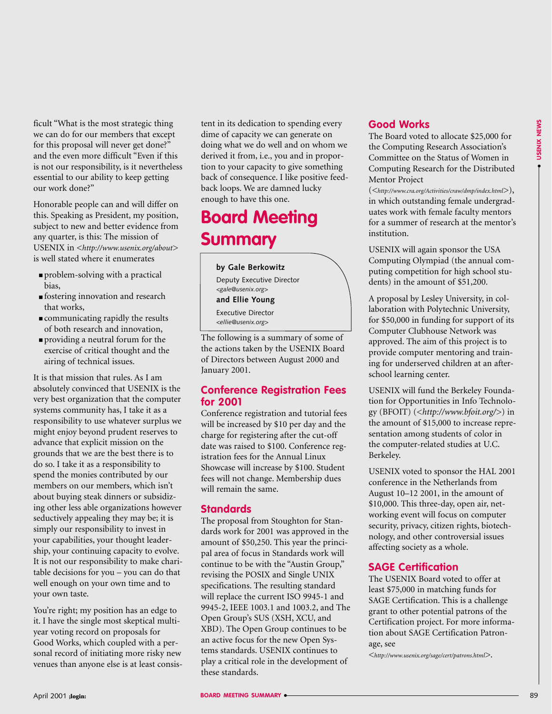ficult "What is the most strategic thing we can do for our members that except for this proposal will never get done?" and the even more difficult "Even if this is not our responsibility, is it nevertheless essential to our ability to keep getting our work done?"

Honorable people can and will differ on this. Speaking as President, my position, subject to new and better evidence from any quarter, is this: The mission of USENIX in *[<http://www.usenix.org/about>](http://www.usenix.org/about)* is well stated where it enumerates

- problem-solving with a practical bias,
- fostering innovation and research that works,
- communicating rapidly the results of both research and innovation,
- providing a neutral forum for the exercise of critical thought and the airing of technical issues.

For the measure of the state in the formula constrained to the state in the state of the state of the state of the state of the state of the state of the state of the state of the state of the state of the state of the st It is that mission that rules. As I am absolutely convinced that USENIX is the very best organization that the computer systems community has, I take it as a responsibility to use whatever surplus we might enjoy beyond prudent reserves to advance that explicit mission on the grounds that we are the best there is to do so. I take it as a responsibility to spend the monies contributed by our members on our members, which isn't about buying steak dinners or subsidizing other less able organizations however seductively appealing they may be; it is simply our responsibility to invest in your capabilities, your thought leadership, your continuing capacity to evolve. It is not our responsibility to make charitable decisions for you – you can do that well enough on your own time and to your own taste.

You're right; my position has an edge to it. I have the single most skeptical multiyear voting record on proposals for Good Works, which coupled with a personal record of initiating more risky new venues than anyone else is at least consistent in its dedication to spending every dime of capacity we can generate on doing what we do well and on whom we derived it from, i.e., you and in proportion to your capacity to give something back of consequence. I like positive feedback loops. We are damned lucky enough to have this one.

## **Board Meeting Summary**

**by Gale Berkowitz** Deputy Executive Director *<gale@usenix.org>* **and Ellie Young** Executive Director *<ellie@usenix.org>*

The following is a summary of some of the actions taken by the USENIX Board of Directors between August 2000 and January 2001.

## **Conference Registration Fees for 2001**

Conference registration and tutorial fees will be increased by \$10 per day and the charge for registering after the cut-off date was raised to \$100. Conference registration fees for the Annual Linux Showcase will increase by \$100. Student fees will not change. Membership dues will remain the same.

## **Standards**

The proposal from Stoughton for Standards work for 2001 was approved in the amount of \$50,250. This year the principal area of focus in Standards work will continue to be with the "Austin Group," revising the POSIX and Single UNIX specifications. The resulting standard will replace the current ISO 9945-1 and 9945-2, IEEE 1003.1 and 1003.2, and The Open Group's SUS (XSH, XCU, and XBD). The Open Group continues to be an active focus for the new Open Systems standards. USENIX continues to play a critical role in the development of these standards.

## **Good Works**

The Board voted to allocate \$25,000 for the Computing Research Association's Committee on the Status of Women in Computing Research for the Distributed Mentor Project

(*<<http://www.cra.org/Activities/craw/dmp/index.html>>*), in which outstanding female undergraduates work with female faculty mentors for a summer of research at the mentor's institution.

USENIX will again sponsor the USA Computing Olympiad (the annual computing competition for high school students) in the amount of \$51,200.

A proposal by Lesley University, in collaboration with Polytechnic University, for \$50,000 in funding for support of its Computer Clubhouse Network was approved. The aim of this project is to provide computer mentoring and training for underserved children at an afterschool learning center.

USENIX will fund the Berkeley Foundation for Opportunities in Info Technology (BFOIT) (*<[http://www.bfoit.org/>](http://www.bfoit.org/)*) in the amount of \$15,000 to increase representation among students of color in the computer-related studies at U.C. Berkeley.

USENIX voted to sponsor the HAL 2001 conference in the Netherlands from August 10–12 2001, in the amount of \$10,000. This three-day, open air, networking event will focus on computer security, privacy, citizen rights, biotechnology, and other controversial issues affecting society as a whole.

## **SAGE Certification**

The USENIX Board voted to offer at least \$75,000 in matching funds for SAGE Certification. This is a challenge grant to other potential patrons of the Certification project. For more information about SAGE Certification Patronage, see

*[<http://www.usenix.org/sage/cert/patrons.html>](http://www.usenix.org/sage/cert/patrons.html)*.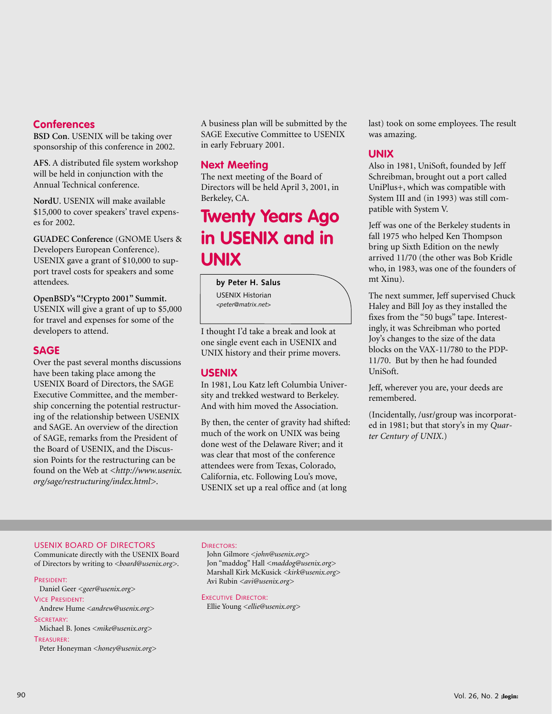## **Conferences**

**BSD Con**. USENIX will be taking over sponsorship of this conference in 2002.

**AFS**. A distributed file system workshop will be held in conjunction with the Annual Technical conference.

**NordU**. USENIX will make available \$15,000 to cover speakers' travel expenses for 2002.

**GUADEC Conference** (GNOME Users & Developers European Conference). USENIX gave a grant of \$10,000 to support travel costs for speakers and some attendees.

**OpenBSD's "!Crypto 2001" Summit.** USENIX will give a grant of up to \$5,000 for travel and expenses for some of the developers to attend.

## **SAGE**

Over the past several months discussions have been taking place among the USENIX Board of Directors, the SAGE Executive Committee, and the membership concerning the potential restructuring of the relationship between USENIX and SAGE. An overview of the direction of SAGE, remarks from the President of the Board of USENIX, and the Discussion Points for the restructuring can be found on the Web at *[<http://www.usenix.](http://www.usenix) org/sage/restructuring/index.html>*.

A business plan will be submitted by the SAGE Executive Committee to USENIX in early February 2001.

## **Next Meeting**

The next meeting of the Board of Directors will be held April 3, 2001, in Berkeley, CA.

## **Twenty Years Ago in USENIX and in UNIX**

#### **by Peter H. Salus**

USENIX Historian *<peter@matrix.net>*

I thought I'd take a break and look at one single event each in USENIX and UNIX history and their prime movers.

## **USENIX**

In 1981, Lou Katz left Columbia University and trekked westward to Berkeley. And with him moved the Association.

By then, the center of gravity had shifted: much of the work on UNIX was being done west of the Delaware River; and it was clear that most of the conference attendees were from Texas, Colorado, California, etc. Following Lou's move, USENIX set up a real office and (at long

last) took on some employees. The result was amazing.

## **UNIX**

Also in 1981, UniSoft, founded by Jeff Schreibman, brought out a port called UniPlus+, which was compatible with System III and (in 1993) was still compatible with System V.

Jeff was one of the Berkeley students in fall 1975 who helped Ken Thompson bring up Sixth Edition on the newly arrived 11/70 (the other was Bob Kridle who, in 1983, was one of the founders of mt Xinu).

The next summer, Jeff supervised Chuck Haley and Bill Joy as they installed the fixes from the "50 bugs" tape. Interestingly, it was Schreibman who ported Joy's changes to the size of the data blocks on the VAX-11/780 to the PDP-11/70. But by then he had founded UniSoft.

Jeff, wherever you are, your deeds are remembered.

(Incidentally, /usr/group was incorporated in 1981; but that story's in my *Quarter Century of UNIX*.)

### USENIX BOARD OF DIRECTORS

Communicate directly with the USENIX Board of Directors by writing to *<board@usenix.org>*.

#### PRESIDENT:

Daniel Geer *<geer@usenix.org>*

VICE PRESIDENT:

Andrew Hume *<andrew@usenix.org>* SECRETARY:

Michael B. Jones *<mike@usenix.org>*

## TREASURER:

Peter Honeyman *<honey@usenix.org>*

#### DIRECTORS:

John Gilmore *<john@usenix.org>* Jon "maddog" Hall *<maddog@usenix.org>* Marshall Kirk McKusick *<kirk@usenix.org>* Avi Rubin *<avi@usenix.org>*

EXECUTIVE DIRECTOR: Ellie Young *<ellie@usenix.org>*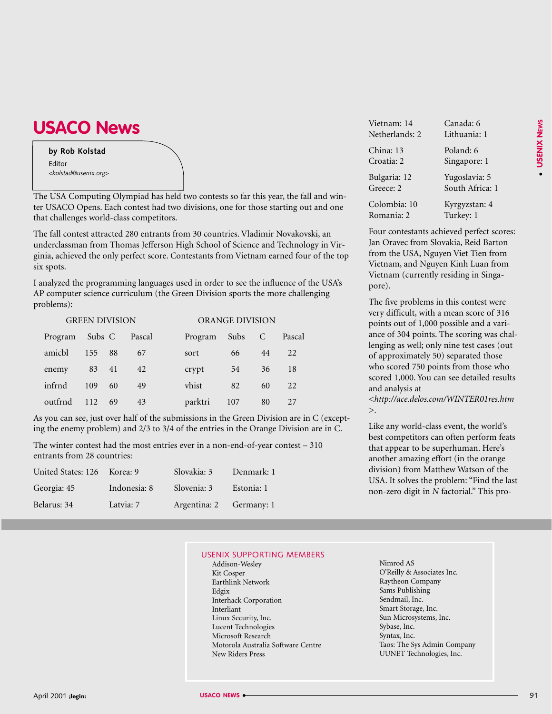## **USACO News**

## **by Rob Kolstad** Editor *<kolstad@usenix.org>*

The USA Computing Olympiad has held two contests so far this year, the fall and winter USACO Opens. Each contest had two divisions, one for those starting out and one that challenges world-class competitors.

The fall contest attracted 280 entrants from 30 countries. Vladimir Novakovski, an underclassman from Thomas Jefferson High School of Science and Technology in Virginia, achieved the only perfect score. Contestants from Vietnam earned four of the top six spots.

I analyzed the programming languages used in order to see the influence of the USA's AP computer science curriculum (the Green Division sports the more challenging problems):

| <b>GREEN DIVISION</b> |        |    |        |         | ORANGE DIVISION |    |        |  |
|-----------------------|--------|----|--------|---------|-----------------|----|--------|--|
| Program               | Subs C |    | Pascal | Program | Subs C          |    | Pascal |  |
| amicbl                | 155    | 88 | 67     | sort    | 66              | 44 | 22     |  |
| enemy                 | 83 41  |    | 42     | crypt   | 54              | 36 | 18     |  |
| infrnd                | 109    | 60 | 49     | vhist   | 82              | 60 | 22     |  |
| outfrnd               | 112    | 69 | 43     | parktri | 107             | 80 | 27     |  |

As you can see, just over half of the submissions in the Green Division are in C (excepting the enemy problem) and 2/3 to 3/4 of the entries in the Orange Division are in C.

The winter contest had the most entries ever in a non-end-of-year contest – 310 entrants from 28 countries:

| United States: 126 Korea: 9 |              | Slovakia: 3  | Denmark: 1 |
|-----------------------------|--------------|--------------|------------|
| Georgia: 45                 | Indonesia: 8 | Slovenia: 3  | Estonia: 1 |
| Belarus: 34                 | Latvia: 7    | Argentina: 2 | Germany: 1 |

| Vietnam: 14    | Canada: 6       |
|----------------|-----------------|
| Netherlands: 2 | Lithuania: 1    |
| China: 13      | Poland: 6       |
| Croatia: 2     | Singapore: 1    |
| Bulgaria: 12   | Yugoslavia: 5   |
| Greece: 2      | South Africa: 1 |
| Colombia: 10   | Kyrgyzstan: 4   |
| Romania: 2     | Turkey: 1       |

Four contestants achieved perfect scores: Jan Oravec from Slovakia, Reid Barton from the USA, Nguyen Viet Tien from Vietnam, and Nguyen Kinh Luan from Vietnam (currently residing in Singapore).

The five problems in this contest were very difficult, with a mean score of 316 points out of 1,000 possible and a variance of 304 points. The scoring was challenging as well; only nine test cases (out of approximately 50) separated those who scored 750 points from those who scored 1,000. You can see detailed results and analysis at

*[<http://ace.delos.com/WINTER01res.htm](http://ace.delos.com/WINTER01res.htm)* >.

Like any world-class event, the world's best competitors can often perform feats that appear to be superhuman. Here's another amazing effort (in the orange division) from Matthew Watson of the USA. It solves the problem: "Find the last non-zero digit in *N* factorial." This pro-

#### USENIX SUPPORTING MEMBERS

- Addison-Wesley Kit Cosper Earthlink Network Edgix Interhack Corporation Interliant Linux Security, Inc. Lucent Technologies Microsoft Research Motorola Australia Software Centre New Riders Press
- Nimrod AS O'Reilly & Associates Inc. Raytheon Company Sams Publishing Sendmail, Inc. Smart Storage, Inc. Sun Microsystems, Inc. Sybase, Inc. Syntax, Inc. Taos: The Sys Admin Company UUNET Technologies, Inc.